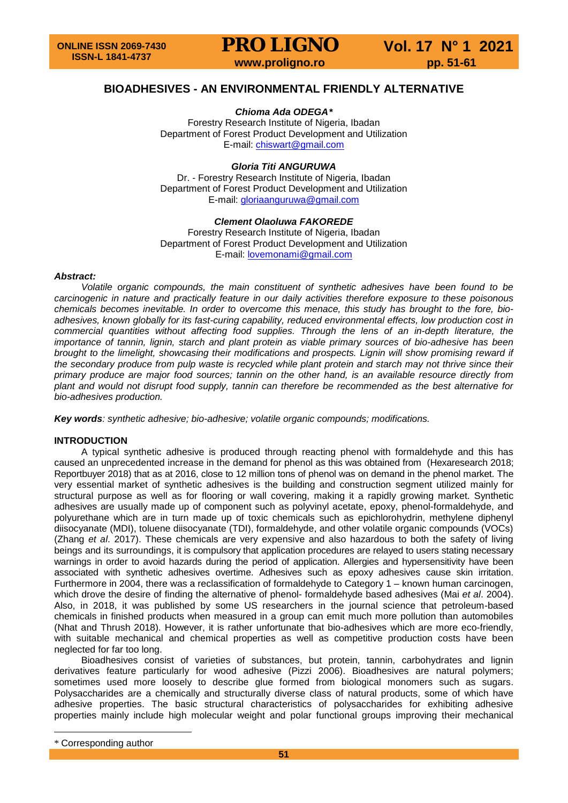### **BIOADHESIVES - AN ENVIRONMENTAL FRIENDLY ALTERNATIVE**

*Chioma Ada ODEGA[\\*](#page-0-0)*

Forestry Research Institute of Nigeria, Ibadan Department of Forest Product Development and Utilization E-mail: [chiswart@gmail.com](mailto:chiswart@gmail.com)

#### *Gloria Titi ANGURUWA*

Dr. - Forestry Research Institute of Nigeria, Ibadan Department of Forest Product Development and Utilization E-mail: [gloriaanguruwa@gmail.com](mailto:gloriaanguruwa@gmail.com)

#### *Clement Olaoluwa FAKOREDE*

Forestry Research Institute of Nigeria, Ibadan Department of Forest Product Development and Utilization E-mail: [lovemonami@gmail.com](mailto:lovemonami@gmail.com)

#### *Abstract:*

*Volatile organic compounds, the main constituent of synthetic adhesives have been found to be carcinogenic in nature and practically feature in our daily activities therefore exposure to these poisonous chemicals becomes inevitable. In order to overcome this menace, this study has brought to the fore, bioadhesives, known globally for its fast-curing capability, reduced environmental effects, low production cost in commercial quantities without affecting food supplies. Through the lens of an in-depth literature, the importance of tannin, lignin, starch and plant protein as viable primary sources of bio-adhesive has been brought to the limelight, showcasing their modifications and prospects. Lignin will show promising reward if the secondary produce from pulp waste is recycled while plant protein and starch may not thrive since their primary produce are major food sources; tannin on the other hand, is an available resource directly from plant and would not disrupt food supply, tannin can therefore be recommended as the best alternative for bio-adhesives production.*

*Key words: synthetic adhesive; bio-adhesive; volatile organic compounds; modifications.* 

#### **INTRODUCTION**

A typical synthetic adhesive is produced through reacting phenol with formaldehyde and this has caused an unprecedented increase in the demand for phenol as this was obtained from (Hexaresearch 2018; Reportbuyer 2018) that as at 2016, close to 12 million tons of phenol was on demand in the phenol market. The very essential market of synthetic adhesives is the building and construction segment utilized mainly for structural purpose as well as for flooring or wall covering, making it a rapidly growing market. Synthetic adhesives are usually made up of component such as polyvinyl acetate, epoxy, phenol-formaldehyde, and polyurethane which are in turn made up of toxic chemicals such as epichlorohydrin, methylene diphenyl diisocyanate (MDI), toluene diisocyanate (TDI), formaldehyde, and other volatile organic compounds (VOCs) (Zhang *et al*. 2017). These chemicals are very expensive and also hazardous to both the safety of living beings and its surroundings, it is compulsory that application procedures are relayed to users stating necessary warnings in order to avoid hazards during the period of application. Allergies and hypersensitivity have been associated with synthetic adhesives overtime. Adhesives such as epoxy adhesives cause skin irritation. Furthermore in 2004, there was a reclassification of formaldehyde to Category 1 – known human carcinogen, which drove the desire of finding the alternative of phenol- formaldehyde based adhesives (Mai *et al*. 2004). Also, in 2018, it was published by some US researchers in the journal science that petroleum-based chemicals in finished products when measured in a group can emit much more pollution than automobiles (Nhat and Thrush 2018). However, it is rather unfortunate that bio-adhesives which are more eco-friendly, with suitable mechanical and chemical properties as well as competitive production costs have been neglected for far too long.

Bioadhesives consist of varieties of substances, but protein, tannin, carbohydrates and lignin derivatives feature particularly for wood adhesive (Pizzi 2006). Bioadhesives are natural polymers; sometimes used more loosely to describe glue formed from biological monomers such as sugars. Polysaccharides are a chemically and structurally diverse class of natural products, some of which have adhesive properties. The basic structural characteristics of polysaccharides for exhibiting adhesive properties mainly include high molecular weight and polar functional groups improving their mechanical

 $\overline{a}$ 

<span id="page-0-0"></span><sup>\*</sup> Corresponding author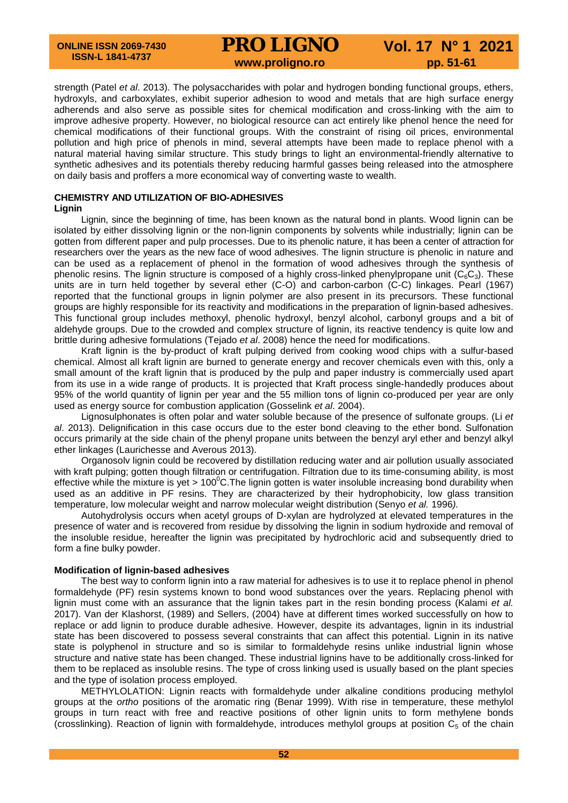strength (Patel *et al*. 2013). The polysaccharides with polar and hydrogen bonding functional groups, ethers, hydroxyls, and carboxylates, exhibit superior adhesion to wood and metals that are high surface energy adherends and also serve as possible sites for chemical modification and cross-linking with the aim to improve adhesive property. However, no biological resource can act entirely like phenol hence the need for chemical modifications of their functional groups. With the constraint of rising oil prices, environmental pollution and high price of phenols in mind, several attempts have been made to replace phenol with a natural material having similar structure. This study brings to light an environmental-friendly alternative to synthetic adhesives and its potentials thereby reducing harmful gasses being released into the atmosphere on daily basis and proffers a more economical way of converting waste to wealth.

#### **CHEMISTRY AND UTILIZATION OF BIO-ADHESIVES**

**Lignin**

Lignin, since the beginning of time, has been known as the natural bond in plants. Wood lignin can be isolated by either dissolving lignin or the non-lignin components by solvents while industrially; lignin can be gotten from different paper and pulp processes. Due to its phenolic nature, it has been a center of attraction for researchers over the years as the new face of wood adhesives. The lignin structure is phenolic in nature and can be used as a replacement of phenol in the formation of wood adhesives through the synthesis of phenolic resins. The lignin structure is composed of a highly cross-linked phenylpropane unit  $(C_6C_3)$ . These units are in turn held together by several ether (C-O) and carbon-carbon (C-C) linkages. Pearl (1967) reported that the functional groups in lignin polymer are also present in its precursors. These functional groups are highly responsible for its reactivity and modifications in the preparation of lignin-based adhesives. This functional group includes methoxyl, phenolic hydroxyl, benzyl alcohol, carbonyl groups and a bit of aldehyde groups. Due to the crowded and complex structure of lignin, its reactive tendency is quite low and brittle during adhesive formulations (Tejado *et al*. 2008) hence the need for modifications.

Kraft lignin is the by-product of kraft pulping derived from cooking wood chips with a sulfur-based chemical. Almost all kraft lignin are burned to generate energy and recover chemicals even with this, only a small amount of the kraft lignin that is produced by the pulp and paper industry is commercially used apart from its use in a wide range of products. It is projected that Kraft process single-handedly produces about 95% of the world quantity of lignin per year and the 55 million tons of lignin co-produced per year are only used as energy source for combustion application (Gosselink *et al*. 2004).

Lignosulphonates is often polar and water soluble because of the presence of sulfonate groups. (Li *et al*. 2013). Delignification in this case occurs due to the ester bond cleaving to the ether bond. Sulfonation occurs primarily at the side chain of the phenyl propane units between the benzyl aryl ether and benzyl alkyl ether linkages (Laurichesse and Averous 2013).

Organosolv lignin could be recovered by distillation reducing water and air pollution usually associated with kraft pulping; gotten though filtration or centrifugation. Filtration due to its time-consuming ability, is most effective while the mixture is yet > 100 $^{\circ}$ C. The lignin gotten is water insoluble increasing bond durability when used as an additive in PF resins. They are characterized by their hydrophobicity, low glass transition temperature, low molecular weight and narrow molecular weight distribution (Senyo *et al.* 1996*).*

Autohydrolysis occurs when acetyl groups of D-xylan are hydrolyzed at elevated temperatures in the presence of water and is recovered from residue by dissolving the lignin in sodium hydroxide and removal of the insoluble residue, hereafter the lignin was precipitated by hydrochloric acid and subsequently dried to form a fine bulky powder.

#### **Modification of lignin-based adhesives**

The best way to conform lignin into a raw material for adhesives is to use it to replace phenol in phenol formaldehyde (PF) resin systems known to bond wood substances over the years. Replacing phenol with lignin must come with an assurance that the lignin takes part in the resin bonding process (Kalami *et al.* 2017). Van der Klashorst, (1989) and Sellers, (2004) have at different times worked successfully on how to replace or add lignin to produce durable adhesive. However, despite its advantages, lignin in its industrial state has been discovered to possess several constraints that can affect this potential. Lignin in its native state is polyphenol in structure and so is similar to formaldehyde resins unlike industrial lignin whose structure and native state has been changed. These industrial lignins have to be additionally cross-linked for them to be replaced as insoluble resins. The type of cross linking used is usually based on the plant species and the type of isolation process employed.

METHYLOLATION: Lignin reacts with formaldehyde under alkaline conditions producing methylol groups at the *ortho* positions of the aromatic ring (Benar 1999). With rise in temperature, these methylol groups in turn react with free and reactive positions of other lignin units to form methylene bonds (crosslinking). Reaction of lignin with formaldehyde, introduces methylol groups at position  $C_5$  of the chain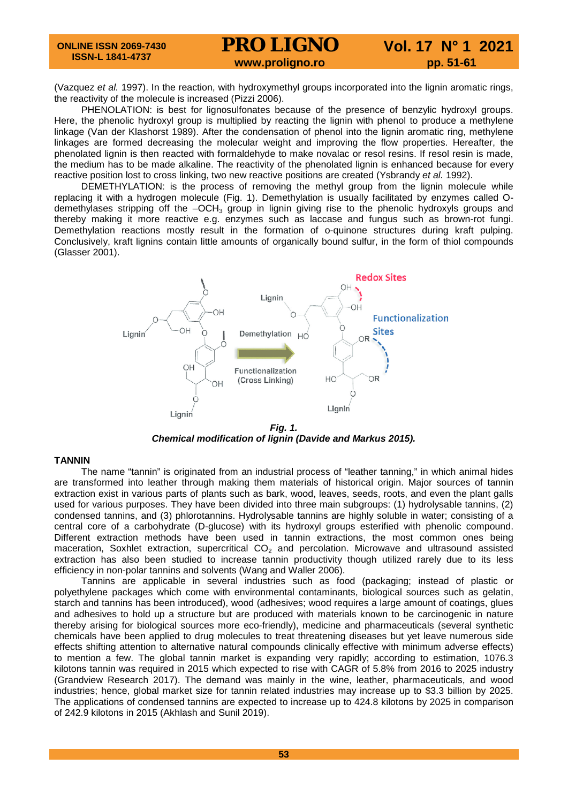(Vazquez *et al.* 1997). In the reaction, with hydroxymethyl groups incorporated into the lignin aromatic rings, the reactivity of the molecule is increased (Pizzi 2006).

PHENOLATION: is best for lignosulfonates because of the presence of benzylic hydroxyl groups. Here, the phenolic hydroxyl group is multiplied by reacting the lignin with phenol to produce a methylene linkage (Van der Klashorst 1989). After the condensation of phenol into the lignin aromatic ring, methylene linkages are formed decreasing the molecular weight and improving the flow properties. Hereafter, the phenolated lignin is then reacted with formaldehyde to make novalac or resol resins. If resol resin is made, the medium has to be made alkaline. The reactivity of the phenolated lignin is enhanced because for every reactive position lost to cross linking, two new reactive positions are created (Ysbrandy *et al.* 1992).

DEMETHYLATION: is the process of removing the methyl group from the lignin molecule while replacing it with a hydrogen molecule (Fig. 1). Demethylation is usually facilitated by enzymes called Odemethylases stripping off the  $-OCH_3$  group in lignin giving rise to the phenolic hydroxyls groups and thereby making it more reactive e.g. enzymes such as laccase and fungus such as brown-rot fungi. Demethylation reactions mostly result in the formation of o-quinone structures during kraft pulping. Conclusively, kraft lignins contain little amounts of organically bound sulfur, in the form of thiol compounds (Glasser 2001).



*Fig. 1. Chemical modification of lignin (Davide and Markus 2015).*

#### **TANNIN**

The name "tannin" is originated from an industrial process of "leather tanning," in which animal hides are transformed into leather through making them materials of historical origin. Major sources of tannin extraction exist in various parts of plants such as bark, wood, leaves, seeds, roots, and even the plant galls used for various purposes. They have been divided into three main subgroups: (1) hydrolysable tannins, (2) condensed tannins, and (3) phlorotannins. Hydrolysable tannins are highly soluble in water; consisting of a central core of a carbohydrate (D-glucose) with its hydroxyl groups esterified with phenolic compound. Different extraction methods have been used in tannin extractions, the most common ones being maceration, Soxhlet extraction, supercritical  $CO<sub>2</sub>$  and percolation. Microwave and ultrasound assisted extraction has also been studied to increase tannin productivity though utilized rarely due to its less efficiency in non-polar tannins and solvents (Wang and Waller 2006).

Tannins are applicable in several industries such as food (packaging; instead of plastic or polyethylene packages which come with environmental contaminants, biological sources such as gelatin, starch and tannins has been introduced), wood (adhesives; wood requires a large amount of coatings, glues and adhesives to hold up a structure but are produced with materials known to be carcinogenic in nature thereby arising for biological sources more eco-friendly), medicine and pharmaceuticals (several synthetic chemicals have been applied to drug molecules to treat threatening diseases but yet leave numerous side effects shifting attention to alternative natural compounds clinically effective with minimum adverse effects) to mention a few. The global tannin market is expanding very rapidly; according to estimation, 1076.3 kilotons tannin was required in 2015 which expected to rise with CAGR of 5.8% from 2016 to 2025 industry (Grandview Research 2017). The demand was mainly in the wine, leather, pharmaceuticals, and wood industries; hence, global market size for tannin related industries may increase up to \$3.3 billion by 2025. The applications of condensed tannins are expected to increase up to 424.8 kilotons by 2025 in comparison of 242.9 kilotons in 2015 [\(Akhlash](https://www.intechopen.com/books/tannins-structural-properties-biological-properties-and-current-knowledge/applications-of-tannins-in-industry#B9) and Sunil 2019).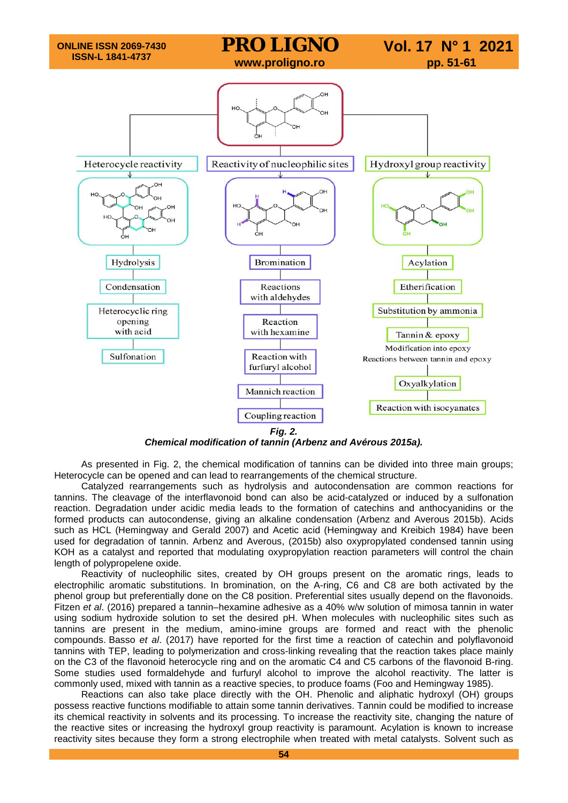

*Chemical modification of tannin (Arbenz and Avérous 2015a).*

As presented in Fig. 2, the chemical modification of tannins can be divided into three main groups; Heterocycle can be opened and can lead to rearrangements of the chemical structure.

Catalyzed rearrangements such as hydrolysis and autocondensation are common reactions for tannins. The cleavage of the interflavonoid bond can also be acid-catalyzed or induced by a sulfonation reaction. Degradation under acidic media leads to the formation of catechins and anthocyanidins or the formed products can autocondense, giving an alkaline condensation (Arbenz and Averous 2015b). Acids such as HCL (Hemingway and Gerald 2007) and Acetic acid (Hemingway and Kreibich 1984) have been used for degradation of tannin. Arbenz and Averous, (2015b) also oxypropylated condensed tannin using KOH as a catalyst and reported that modulating oxypropylation reaction parameters will control the chain length of polypropelene oxide.

Reactivity of nucleophilic sites, created by OH groups present on the aromatic rings, leads to electrophilic aromatic substitutions. In bromination, on the A-ring, C6 and C8 are both activated by the phenol group but preferentially done on the C8 position. Preferential sites usually depend on the flavonoids. Fitzen *et al*. (2016) prepared a tannin–hexamine adhesive as a 40% w/w solution of mimosa tannin in water using sodium hydroxide solution to set the desired pH. When molecules with nucleophilic sites such as tannins are present in the medium, amino-imine groups are formed and react with the phenolic compounds. Basso *et al*. (2017) have reported for the first time a reaction of catechin and polyflavonoid tannins with TEP, leading to polymerization and cross-linking revealing that the reaction takes place mainly on the C3 of the flavonoid heterocycle ring and on the aromatic C4 and C5 carbons of the flavonoid B-ring. Some studies used formaldehyde and furfuryl alcohol to improve the alcohol reactivity. The latter is commonly used, mixed with tannin as a reactive species, to produce foams (Foo and Hemingway 1985).

Reactions can also take place directly with the OH. Phenolic and aliphatic hydroxyl (OH) groups possess reactive functions modifiable to attain some tannin derivatives. Tannin could be modified to increase its chemical reactivity in solvents and its processing. To increase the reactivity site, changing the nature of the reactive sites or increasing the hydroxyl group reactivity is paramount. Acylation is known to increase reactivity sites because they form a strong electrophile when treated with metal catalysts. Solvent such as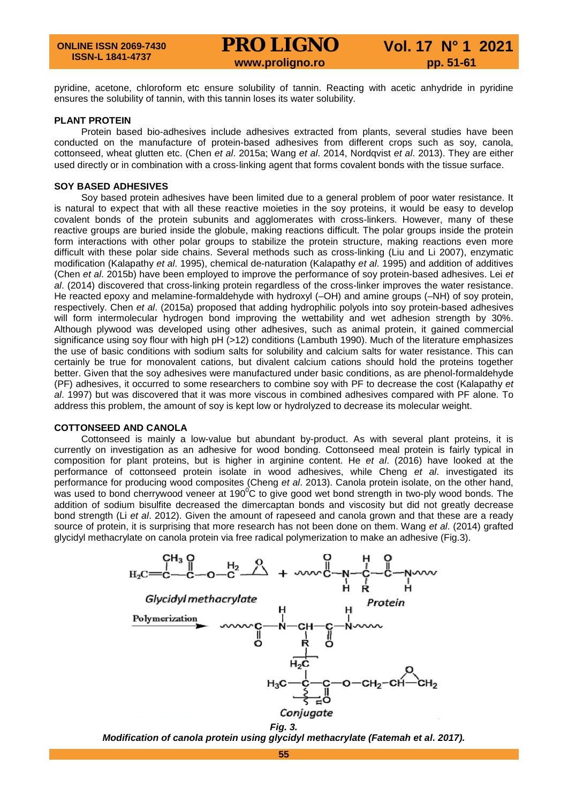pyridine, acetone, chloroform etc ensure solubility of tannin. Reacting with acetic anhydride in pyridine ensures the solubility of tannin, with this tannin loses its water solubility.

#### **PLANT PROTEIN**

Protein based bio-adhesives include adhesives extracted from plants, several studies have been conducted on the manufacture of protein-based adhesives from different crops such as soy, canola, cottonseed, wheat glutten etc. (Chen *et al*. 2015a; Wang *et al*. 2014, Nordqvist *et al*. 2013). They are either used directly or in combination with a cross‐linking agent that forms covalent bonds with the tissue surface.

#### **SOY BASED ADHESIVES**

Soy based protein adhesives have been limited due to a general problem of poor water resistance. It is natural to expect that with all these reactive moieties in the soy proteins, it would be easy to develop covalent bonds of the protein subunits and agglomerates with cross-linkers. However, many of these reactive groups are buried inside the globule, making reactions difficult. The polar groups inside the protein form interactions with other polar groups to stabilize the protein structure, making reactions even more difficult with these polar side chains. Several methods such as cross-linking (Liu and Li 2007), enzymatic modification (Kalapathy *et al*. 1995), chemical de-naturation (Kalapathy *et al*. 1995) and addition of additives (Chen *et al*. 2015b) have been employed to improve the performance of soy protein-based adhesives. Lei *et al*. (2014) discovered that cross-linking protein regardless of the cross-linker improves the water resistance. He reacted epoxy and melamine-formaldehyde with hydroxyl (-OH) and amine groups (-NH) of soy protein, respectively. Chen *et al*. (2015a) proposed that adding hydrophilic polyols into soy protein-based adhesives will form intermolecular hydrogen bond improving the wettability and wet adhesion strength by 30%. Although plywood was developed using other adhesives, such as animal protein, it gained commercial significance using soy flour with high pH (>12) conditions (Lambuth 1990). Much of the literature emphasizes the use of basic conditions with sodium salts for solubility and calcium salts for water resistance. This can certainly be true for monovalent cations, but divalent calcium cations should hold the proteins together better. Given that the soy adhesives were manufactured under basic conditions, as are phenol-formaldehyde (PF) adhesives, it occurred to some researchers to combine soy with PF to decrease the cost (Kalapathy *et al*. 1997) but was discovered that it was more viscous in combined adhesives compared with PF alone. To address this problem, the amount of soy is kept low or hydrolyzed to decrease its molecular weight.

#### **COTTONSEED AND CANOLA**

Cottonseed is mainly a low-value but abundant by-product. As with several plant proteins, it is currently on investigation as an adhesive for wood bonding. Cottonseed meal protein is fairly typical in composition for plant proteins, but is higher in arginine content. He *et al*. (2016) have looked at the performance of cottonseed protein isolate in wood adhesives, while Cheng *et al*. investigated its performance for producing wood composites (Cheng *et al*. 2013). Canola protein isolate, on the other hand, was used to bond cherrywood veneer at 190 $^{\circ}$ C to give good wet bond strength in two-ply wood bonds. The addition of sodium bisulfite decreased the dimercaptan bonds and viscosity but did not greatly decrease bond strength (Li *et al*. 2012). Given the amount of rapeseed and canola grown and that these are a ready source of protein, it is surprising that more research has not been done on them. Wang *et al*. (2014) grafted glycidyl methacrylate on canola protein via free radical polymerization to make an adhesive (Fig.3).





*Modification of canola protein using glycidyl methacrylate (Fatemah et al. 2017).*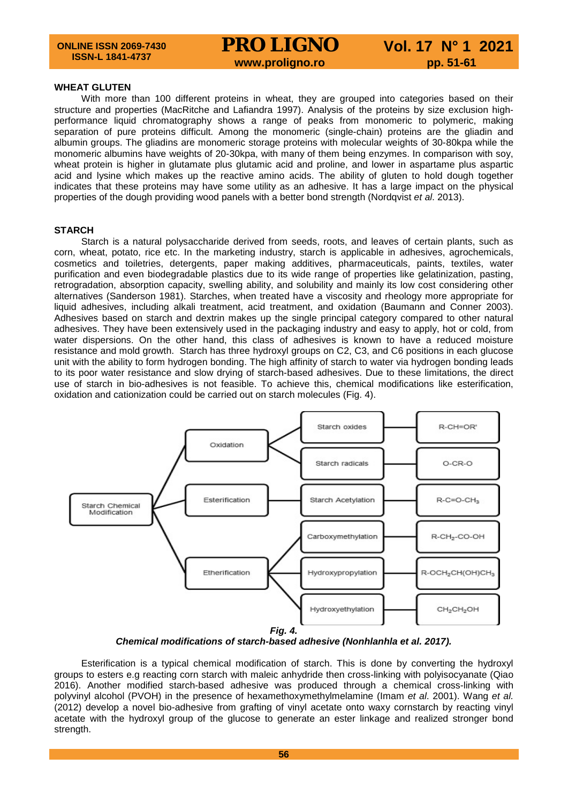#### **WHEAT GLUTEN**

With more than 100 different proteins in wheat, they are grouped into categories based on their structure and properties (MacRitche and Lafiandra 1997). Analysis of the proteins by size exclusion highperformance liquid chromatography shows a range of peaks from monomeric to polymeric, making separation of pure proteins difficult. Among the monomeric (single-chain) proteins are the gliadin and albumin groups. The gliadins are monomeric storage proteins with molecular weights of 30-80kpa while the monomeric albumins have weights of 20-30kpa, with many of them being enzymes. In comparison with soy, wheat protein is higher in glutamate plus glutamic acid and proline, and lower in aspartame plus aspartic acid and lysine which makes up the reactive amino acids. The ability of gluten to hold dough together indicates that these proteins may have some utility as an adhesive. It has a large impact on the physical properties of the dough providing wood panels with a better bond strength (Nordqvist *et al*. 2013).

#### **STARCH**

Starch is a natural polysaccharide derived from seeds, roots, and leaves of certain plants, such as corn, wheat, potato, rice etc. In the marketing industry, starch is applicable in adhesives, agrochemicals, cosmetics and toiletries, detergents, paper making additives, pharmaceuticals, paints, textiles, water purification and even biodegradable plastics due to its wide range of properties like gelatinization, pasting, retrogradation, absorption capacity, swelling ability, and solubility and mainly its low cost considering other alternatives (Sanderson 1981). Starches, when treated have a viscosity and rheology more appropriate for liquid adhesives, including alkali treatment, acid treatment, and oxidation (Baumann and Conner 2003). Adhesives based on starch and dextrin makes up the single principal category compared to other natural adhesives. They have been extensively used in the packaging industry and easy to apply, hot or cold, from water dispersions. On the other hand, this class of adhesives is known to have a reduced moisture resistance and mold growth. Starch has three hydroxyl groups on C2, C3, and C6 positions in each glucose unit with the ability to form hydrogen bonding. The high affinity of starch to water via hydrogen bonding leads to its poor water resistance and slow drying of starch-based adhesives. Due to these limitations, the direct use of starch in bio-adhesives is not feasible. To achieve this, chemical modifications like esterification, oxidation and cationization could be carried out on starch molecules (Fig. 4).



*Chemical modifications of starch-based adhesive (Nonhlanhla et al. 2017).*

Esterification is a typical chemical modification of starch. This is done by converting the hydroxyl groups to esters e.g reacting corn starch with maleic anhydride then cross-linking with polyisocyanate (Qiao 2016). Another modified starch-based adhesive was produced through a chemical cross-linking with polyvinyl alcohol (PVOH) in the presence of hexamethoxymethylmelamine (Imam *et al*. 2001). Wang *et al.* (2012) develop a novel bio-adhesive from grafting of vinyl acetate onto waxy cornstarch by reacting vinyl acetate with the hydroxyl group of the glucose to generate an ester linkage and realized stronger bond strength.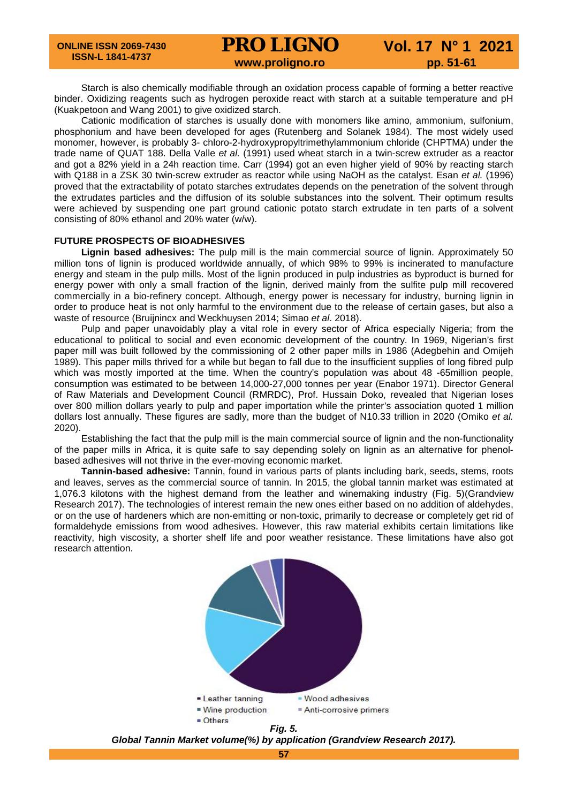Starch is also chemically modifiable through an oxidation process capable of forming a better reactive binder. Oxidizing reagents such as hydrogen peroxide react with starch at a suitable temperature and pH (Kuakpetoon and Wang 2001) to give oxidized starch.

Cationic modification of starches is usually done with monomers like amino, ammonium, sulfonium, phosphonium and have been developed for ages (Rutenberg and Solanek 1984). The most widely used monomer, however, is probably 3- chloro-2-hydroxypropyltrimethylammonium chloride (CHPTMA) under the trade name of QUAT 188. Della Valle *et al.* (1991) used wheat starch in a twin-screw extruder as a reactor and got a 82% yield in a 24h reaction time. Carr (1994) got an even higher yield of 90% by reacting starch with Q188 in a ZSK 30 twin-screw extruder as reactor while using NaOH as the catalyst. Esan *et al.* (1996) proved that the extractability of potato starches extrudates depends on the penetration of the solvent through the extrudates particles and the diffusion of its soluble substances into the solvent. Their optimum results were achieved by suspending one part ground cationic potato starch extrudate in ten parts of a solvent consisting of 80% ethanol and 20% water (w/w).

#### **FUTURE PROSPECTS OF BIOADHESIVES**

**Lignin based adhesives:** The pulp mill is the main commercial source of lignin. Approximately 50 million tons of lignin is produced worldwide annually, of which 98% to 99% is incinerated to manufacture energy and steam in the pulp mills. Most of the lignin produced in pulp industries as byproduct is burned for energy power with only a small fraction of the lignin, derived mainly from the sulfite pulp mill recovered commercially in a bio-refinery concept. Although, energy power is necessary for industry, burning lignin in order to produce heat is not only harmful to the environment due to the release of certain gases, but also a waste of resource (Bruijnincx and Weckhuysen 2014; Simao *et al*. 2018).

Pulp and paper unavoidably play a vital role in every sector of Africa especially Nigeria; from the educational to political to social and even economic development of the country. In 1969, Nigerian's first paper mill was built followed by the commissioning of 2 other paper mills in 1986 (Adegbehin and Omijeh 1989). This paper mills thrived for a while but began to fall due to the insufficient supplies of long fibred pulp which was mostly imported at the time. When the country's population was about 48 -65million people, consumption was estimated to be between 14,000-27,000 tonnes per year (Enabor 1971). Director General of Raw Materials and Development Council (RMRDC), Prof. Hussain Doko, revealed that Nigerian loses over 800 million dollars yearly to pulp and paper importation while the printer's association quoted 1 million dollars lost annually. These figures are sadly, more than the budget of N10.33 trillion in 2020 (Omiko *et al.* 2020).

Establishing the fact that the pulp mill is the main commercial source of lignin and the non-functionality of the paper mills in Africa, it is quite safe to say depending solely on lignin as an alternative for phenolbased adhesives will not thrive in the ever-moving economic market.

**Tannin-based adhesive:** Tannin, found in various parts of plants including bark, seeds, stems, roots and leaves, serves as the commercial source of tannin. In 2015, the global tannin market was estimated at 1,076.3 kilotons with the highest demand from the leather and winemaking industry (Fig. 5)(Grandview Research 2017). The technologies of interest remain the new ones either based on no addition of aldehydes, or on the use of hardeners which are non-emitting or non-toxic, primarily to decrease or completely get rid of formaldehyde emissions from wood adhesives. However, this raw material exhibits certain limitations like reactivity, high viscosity, a shorter shelf life and poor weather resistance. These limitations have also got research attention.



*Global Tannin Market volume(%) by application (Grandview Research 2017).*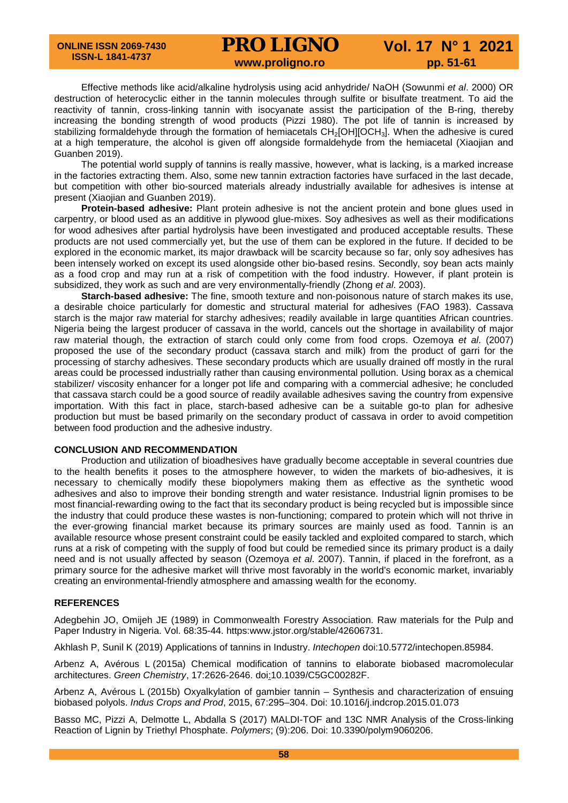Effective methods like acid/alkaline hydrolysis using acid anhydride/ NaOH (Sowunmi *et al*. 2000) OR destruction of heterocyclic either in the tannin molecules through sulfite or bisulfate treatment. To aid the reactivity of tannin, cross-linking tannin with isocyanate assist the participation of the B-ring, thereby increasing the bonding strength of wood products (Pizzi 1980). The pot life of tannin is increased by stabilizing formaldehyde through the formation of hemiacetals CH<sub>2</sub>[OH][OCH<sub>3</sub>]. When the adhesive is cured at a high temperature, the alcohol is given off alongside formaldehyde from the hemiacetal (Xiaojian and Guanben 2019).

The potential world supply of tannins is really massive, however, what is lacking, is a marked increase in the factories extracting them. Also, some new tannin extraction factories have surfaced in the last decade, but competition with other bio-sourced materials already industrially available for adhesives is intense at present (Xiaojian and Guanben 2019).

**Protein-based adhesive:** Plant protein adhesive is not the ancient protein and bone glues used in carpentry, or blood used as an additive in plywood glue-mixes. Soy adhesives as well as their modifications for wood adhesives after partial hydrolysis have been investigated and produced acceptable results. These products are not used commercially yet, but the use of them can be explored in the future. If decided to be explored in the economic market, its major drawback will be scarcity because so far, only soy adhesives has been intensely worked on except its used alongside other bio-based resins. Secondly, soy bean acts mainly as a food crop and may run at a risk of competition with the food industry. However, if plant protein is subsidized, they work as such and are very environmentally-friendly (Zhong *et al*. 2003).

**Starch-based adhesive:** The fine, smooth texture and non-poisonous nature of starch makes its use, a desirable choice particularly for domestic and structural material for adhesives (FAO 1983). Cassava starch is the major raw material for starchy adhesives; readily available in large quantities African countries. Nigeria being the largest producer of cassava in the world, cancels out the shortage in availability of major raw material though, the extraction of starch could only come from food crops. Ozemoya *et al*. (2007) proposed the use of the secondary product (cassava starch and milk) from the product of garri for the processing of starchy adhesives. These secondary products which are usually drained off mostly in the rural areas could be processed industrially rather than causing environmental pollution. Using borax as a chemical stabilizer/ viscosity enhancer for a longer pot life and comparing with a commercial adhesive; he concluded that cassava starch could be a good source of readily available adhesives saving the country from expensive importation. With this fact in place, starch-based adhesive can be a suitable go-to plan for adhesive production but must be based primarily on the secondary product of cassava in order to avoid competition between food production and the adhesive industry.

#### **CONCLUSION AND RECOMMENDATION**

Production and utilization of bioadhesives have gradually become acceptable in several countries due to the health benefits it poses to the atmosphere however, to widen the markets of bio-adhesives, it is necessary to chemically modify these biopolymers making them as effective as the synthetic wood adhesives and also to improve their bonding strength and water resistance. Industrial lignin promises to be most financial-rewarding owing to the fact that its secondary product is being recycled but is impossible since the industry that could produce these wastes is non-functioning; compared to protein which will not thrive in the ever-growing financial market because its primary sources are mainly used as food. Tannin is an available resource whose present constraint could be easily tackled and exploited compared to starch, which runs at a risk of competing with the supply of food but could be remedied since its primary product is a daily need and is not usually affected by season (Ozemoya *et al*. 2007). Tannin, if placed in the forefront, as a primary source for the adhesive market will thrive most favorably in the world's economic market, invariably creating an environmental-friendly atmosphere and amassing wealth for the economy.

#### **REFERENCES**

Adegbehin JO, Omijeh JE (1989) in Commonwealth Forestry Association. Raw materials for the Pulp and Paper Industry in Nigeria. Vol. 68:35-44. https:www.jstor.org/stable/42606731.

Akhlash P, Sunil K (2019) Applications of tannins in Industry. *Intechopen* doi:10.5772/intechopen.85984.

Arbenz A, Avérous L (2015a) Chemical modification of tannins to elaborate biobased macromolecular architectures. *Green Chemistry*, 17:2626-2646. doi[:10.1039/C5GC00282F.](https://doi.org/10.1039/C5GC00282F)

Arbenz A, Avérous L (2015b) Oxyalkylation of gambier tannin – Synthesis and characterization of ensuing biobased polyols. *Indus Crops and Prod*, 2015, 67:295–304. Doi: 10.1016/j.indcrop.2015.01.073

Basso MC, Pizzi A, Delmotte L, Abdalla S (2017) MALDI-TOF and 13C NMR Analysis of the Cross-linking Reaction of Lignin by Triethyl Phosphate. *Polymers*; (9):206. Doi: 10.3390/polym9060206.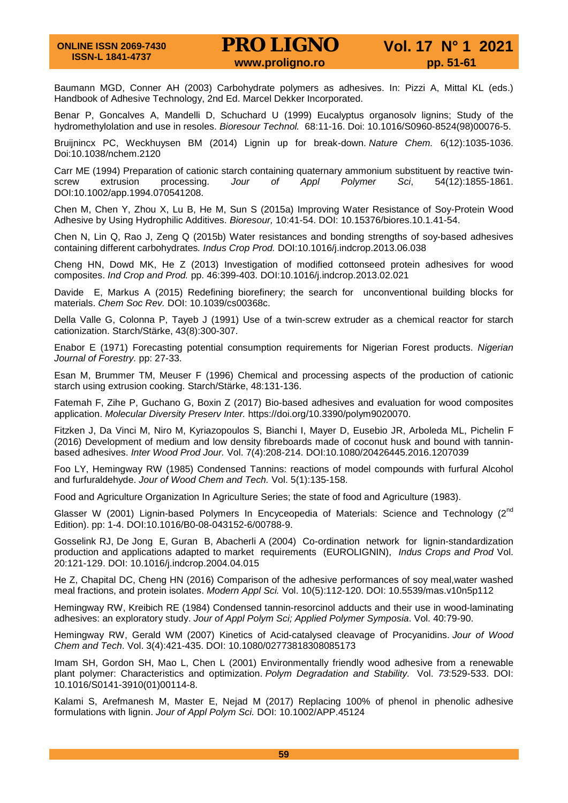Baumann MGD, Conner AH (2003) Carbohydrate polymers as adhesives. In: Pizzi A, Mittal KL (eds.) Handbook of Adhesive Technology, 2nd Ed. Marcel Dekker Incorporated.

Benar P, Goncalves A, Mandelli D, Schuchard U (1999) Eucalyptus organosolv lignins; Study of the hydromethylolation and use in resoles. *Bioresour Technol.* 68:11-16. Doi: 10.1016/S0960-8524(98)00076-5.

[Bruijnincx PC, Weckhuysen BM \(2014\) Lignin up for break-down.](https://www.nature.com/articles/nchem.2120) *Nature Chem.* 6(12):1035-1036. Doi:10.1038/nchem.2120

Carr ME (1994) Preparation of cationic starch containing quaternary ammonium substituent by reactive twin-<br>
screw extrusion processing. Jour of Appl Polymer Sci, 54(12):1855-1861. screw extrusion processing. *Jour of Appl Polymer Sci*, 54(12):1855-1861. DOI:10.1002/app.1994.070541208.

Chen M, Chen Y, Zhou X, Lu B, He M, Sun S (2015a) Improving Water Resistance of Soy-Protein Wood Adhesive by Using Hydrophilic Additives. *Bioresour,* 10:41-54. DOI: 10.15376/biores.10.1.41-54.

Chen N, Lin Q, Rao J, Zeng Q (2015b) Water resistances and bonding strengths of soy-based adhesives containing different carbohydrates*. Indus Crop Prod.* DOI:10.1016/j.indcrop.2013.06.038

Cheng HN, Dowd MK, He Z (2013) Investigation of modified cottonseed protein adhesives for wood composites. *Ind Crop and Prod.* pp. 46:399-403. DOI:10.1016/j.indcrop.2013.02.021

Davide E, Markus A (2015) Redefining biorefinery; the search for unconventional building blocks for materials. *Chem Soc Rev.* DOI: 10.1039/cs00368c.

Della Valle G, Colonna P, Tayeb J (1991) Use of a twin-screw extruder as a chemical reactor for starch cationization. Starch/Stärke, 43(8):300-307.

Enabor E (1971) Forecasting potential consumption requirements for Nigerian Forest products. *Nigerian Journal of Forestry.* pp: 27-33.

Esan M, Brummer TM, Meuser F (1996) Chemical and processing aspects of the production of cationic starch using extrusion cooking. Starch/Stärke, 48:131-136.

Fatemah F, Zihe P, Guchano G, Boxin Z (2017) Bio-based adhesives and evaluation for wood composites application. *Molecular Diversity Preserv Inter.* [https://doi.org/10.3390/polym9020070.](https://doi.org/10.3390/polym9020070)

Fitzken J, Da Vinci M, Niro M, Kyriazopoulos S, Bianchi I, Mayer D, Eusebio JR, Arboleda ML, Pichelin F (2016) Development of medium and low density fibreboards made of coconut husk and bound with tanninbased adhesives. *Inter Wood Prod Jour.* Vol. 7(4):208-214. DOI:10.1080/20426445.2016.1207039

Foo LY, Hemingway RW (1985) Condensed Tannins: reactions of model compounds with furfural Alcohol and furfuraldehyde. *Jour of Wood Chem and Tech.* Vol. 5(1):135-158.

Food and Agriculture Organization In Agriculture Series; the state of food and Agriculture (1983).

Glasser W (2001) Lignin-based Polymers In Encyceopedia of Materials: Science and Technology (2<sup>nd</sup> Edition). pp: 1-4. DOI:10.1016/B0-08-043152-6/00788-9.

Gosselink RJ, De Jong E, Guran B, Abacherli A (2004) Co-ordination network for lignin-standardization production and applications adapted to market requirements (EUROLIGNIN), *Indus Crops and Prod* Vol. 20:121-129. DOI: 10.1016/j.indcrop.2004.04.015

He Z, Chapital DC, Cheng HN (2016) Comparison of the adhesive performances of soy meal,water washed meal fractions, and protein isolates. *Modern Appl Sci.* Vol. 10(5):112-120. DOI: 10.5539/mas.v10n5p112

Hemingway RW, Kreibich RE (1984) Condensed tannin-resorcinol adducts and their use in wood-laminating adhesives: an exploratory study. *Jour of Appl Polym Sci; Applied Polymer Symposia*. Vol. 40:79-90.

Hemingway RW, Gerald WM (2007) Kinetics of Acid-catalysed cleavage of Procyanidins. *Jour of Wood Chem and Tech*. Vol. 3(4):421-435. DOI: 10.1080/02773818308085173

Imam SH, Gordon SH, Mao L, Chen L (2001) Environmentally friendly wood adhesive from a renewable plant polymer: Characteristics and optimization. *Polym Degradation and Stability.* Vol. *73*:529-533. DOI: 10.1016/S0141-3910(01)00114-8.

Kalami S, Arefmanesh M, Master E, Nejad M (2017) Replacing 100% of phenol in phenolic adhesive formulations with lignin. *Jour of Appl Polym Sci.* DOI: 10.1002/APP.45124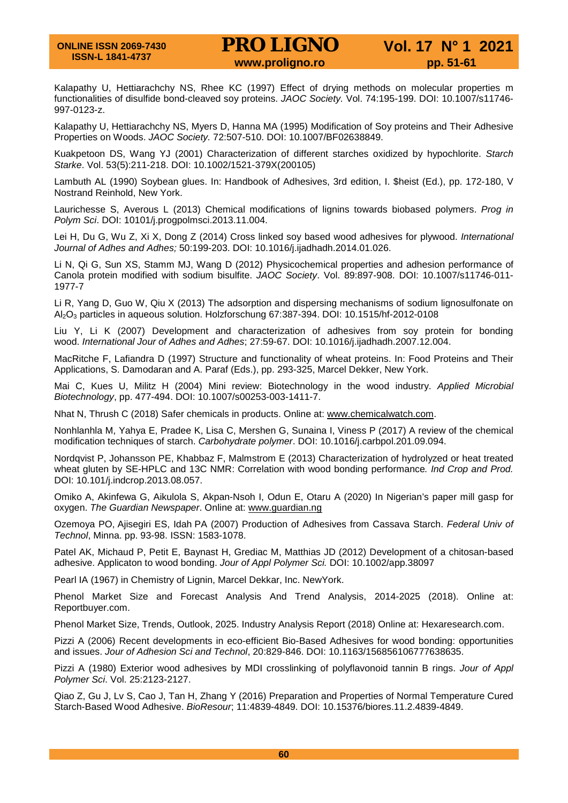Kalapathy U, Hettiarachchy NS, Rhee KC (1997) Effect of drying methods on molecular properties m functionalities of disulfide bond-cleaved soy proteins. *JAOC Society.* Vol. 74:195-199. DOI: 10.1007/s11746- 997-0123-z.

Kalapathy U, Hettiarachchy NS, Myers D, Hanna MA (1995) Modification of Soy proteins and Their Adhesive Properties on Woods. *JAOC Society.* 72:507-510. DOI: 10.1007/BF02638849.

Kuakpetoon DS, Wang YJ (2001) Characterization of different starches oxidized by hypochlorite. *Starch Starke*. Vol. 53(5):211-218. DOI: 10.1002/1521-379X(200105)

Lambuth AL (1990) Soybean glues. In: Handbook of Adhesives, 3rd edition, I. \$heist (Ed.), pp. 172-180, V Nostrand Reinhold, New York.

Laurichesse S, Averous L (2013) Chemical modifications of lignins towards biobased polymers. *Prog in Polym Sci*. DOI: 10101/j.progpolmsci.2013.11.004.

Lei H, Du G, Wu Z, Xi X, Dong Z (2014) Cross linked soy based wood adhesives for plywood. *International Journal of Adhes and Adhes;* 50:199-203. DOI: 10.1016/j.ijadhadh.2014.01.026.

Li N, Qi G, Sun XS, Stamm MJ, Wang D (2012) Physicochemical properties and adhesion performance of Canola protein modified with sodium bisulfite. *JAOC Society*. Vol. 89:897-908. DOI: 10.1007/s11746-011- 1977-7

Li R, Yang D, Guo W, Qiu X (2013) The adsorption and dispersing mechanisms of sodium lignosulfonate on Al2O3 particles in aqueous solution. Holzforschung 67:387-394. DOI: 10.1515/hf-2012-0108

Liu Y, Li K (2007) Development and characterization of adhesives from soy protein for bonding wood. *International Jour of Adhes and Adhes*; 27:59-67. DOI: 10.1016/j.ijadhadh.2007.12.004.

MacRitche F, Lafiandra D (1997) Structure and functionality of wheat proteins. In: Food Proteins and Their Applications, S. Damodaran and A. Paraf (Eds.), pp. 293-325, Marcel Dekker, New York.

Mai C, Kues U, Militz H (2004) Mini review: Biotechnology in the wood industry. *Applied Microbial Biotechnology*, pp. 477-494. DOI: 10.1007/s00253-003-1411-7.

Nhat N, Thrush C (2018) Safer chemicals in products. Online at: [www.chemicalwatch.com.](http://www.chemicalwatch.com/)

Nonhlanhla M, Yahya E, Pradee K, Lisa C, Mershen G, Sunaina I, Viness P (2017) A review of the chemical modification techniques of starch. *Carbohydrate polymer*. DOI: 10.1016/j.carbpol.201.09.094.

Nordqvist P, Johansson PE, Khabbaz F, Malmstrom E (2013) Characterization of hydrolyzed or heat treated wheat gluten by SE-HPLC and 13C NMR: Correlation with wood bonding performance*. Ind Crop and Prod.* DOI: 10.101/j.indcrop.2013.08.057.

Omiko A, Akinfewa G, Aikulola S, Akpan-Nsoh I, Odun E, Otaru A (2020) In Nigerian's paper mill gasp for oxygen. *The Guardian Newspaper*. Online at: [www.guardian.ng](http://www.guardian.ng/)

Ozemoya PO, Ajisegiri ES, Idah PA (2007) Production of Adhesives from Cassava Starch. *Federal Univ of Technol*, Minna. pp. 93-98. ISSN: 1583-1078.

Patel AK, Michaud P, Petit E, Baynast H, Grediac M, Matthias JD (2012) Development of a chitosan-based adhesive. Applicaton to wood bonding. *Jour of Appl Polymer Sci.* DOI: 10.1002/app.38097

Pearl IA (1967) in Chemistry of Lignin, Marcel Dekkar, Inc. NewYork.

Phenol Market Size and Forecast Analysis And Trend Analysis, 2014-2025 (2018). Online at: Reportbuyer.com.

Phenol Market Size, Trends, Outlook, 2025. Industry Analysis Report (2018) Online at: Hexaresearch.com.

Pizzi A (2006) Recent developments in eco-efficient Bio-Based Adhesives for wood bonding: opportunities and issues. *Jour of Adhesion Sci and Technol*, 20:829-846. DOI: 10.1163/156856106777638635.

Pizzi A (1980) Exterior wood adhesives by MDI crosslinking of polyflavonoid tannin B rings. *Jour of Appl Polymer Sci*. Vol. 25:2123-2127.

Qiao Z, Gu J, Lv S, Cao J, Tan H, Zhang Y (2016) Preparation and Properties of Normal Temperature Cured Starch-Based Wood Adhesive. *BioResour*; 11:4839-4849. DOI: 10.15376/biores.11.2.4839-4849.